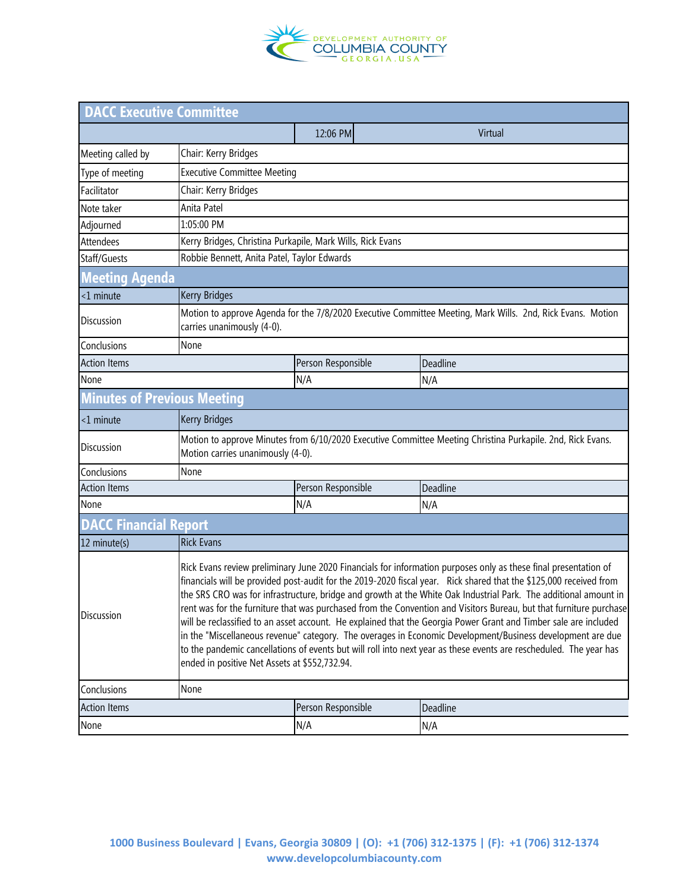

| <b>DACC Executive Committee</b>    |                                                                                                                                                                                                                                                                                                                                                                                                                                                                                                                                                                                                                                                                                                                                                                                                                                                                                          |                                    |          |  |  |  |
|------------------------------------|------------------------------------------------------------------------------------------------------------------------------------------------------------------------------------------------------------------------------------------------------------------------------------------------------------------------------------------------------------------------------------------------------------------------------------------------------------------------------------------------------------------------------------------------------------------------------------------------------------------------------------------------------------------------------------------------------------------------------------------------------------------------------------------------------------------------------------------------------------------------------------------|------------------------------------|----------|--|--|--|
|                                    |                                                                                                                                                                                                                                                                                                                                                                                                                                                                                                                                                                                                                                                                                                                                                                                                                                                                                          | 12:06 PM                           | Virtual  |  |  |  |
| Meeting called by                  | Chair: Kerry Bridges                                                                                                                                                                                                                                                                                                                                                                                                                                                                                                                                                                                                                                                                                                                                                                                                                                                                     |                                    |          |  |  |  |
| Type of meeting                    |                                                                                                                                                                                                                                                                                                                                                                                                                                                                                                                                                                                                                                                                                                                                                                                                                                                                                          | <b>Executive Committee Meeting</b> |          |  |  |  |
| Facilitator                        | Chair: Kerry Bridges                                                                                                                                                                                                                                                                                                                                                                                                                                                                                                                                                                                                                                                                                                                                                                                                                                                                     |                                    |          |  |  |  |
| Note taker                         | Anita Patel                                                                                                                                                                                                                                                                                                                                                                                                                                                                                                                                                                                                                                                                                                                                                                                                                                                                              |                                    |          |  |  |  |
| Adjourned                          | 1:05:00 PM                                                                                                                                                                                                                                                                                                                                                                                                                                                                                                                                                                                                                                                                                                                                                                                                                                                                               |                                    |          |  |  |  |
| Attendees                          | Kerry Bridges, Christina Purkapile, Mark Wills, Rick Evans                                                                                                                                                                                                                                                                                                                                                                                                                                                                                                                                                                                                                                                                                                                                                                                                                               |                                    |          |  |  |  |
| Staff/Guests                       | Robbie Bennett, Anita Patel, Taylor Edwards                                                                                                                                                                                                                                                                                                                                                                                                                                                                                                                                                                                                                                                                                                                                                                                                                                              |                                    |          |  |  |  |
| <b>Meeting Agenda</b>              |                                                                                                                                                                                                                                                                                                                                                                                                                                                                                                                                                                                                                                                                                                                                                                                                                                                                                          |                                    |          |  |  |  |
| $<$ 1 minute                       | <b>Kerry Bridges</b>                                                                                                                                                                                                                                                                                                                                                                                                                                                                                                                                                                                                                                                                                                                                                                                                                                                                     |                                    |          |  |  |  |
| Discussion                         | Motion to approve Agenda for the 7/8/2020 Executive Committee Meeting, Mark Wills. 2nd, Rick Evans. Motion<br>carries unanimously (4-0).                                                                                                                                                                                                                                                                                                                                                                                                                                                                                                                                                                                                                                                                                                                                                 |                                    |          |  |  |  |
| Conclusions                        | None                                                                                                                                                                                                                                                                                                                                                                                                                                                                                                                                                                                                                                                                                                                                                                                                                                                                                     |                                    |          |  |  |  |
| <b>Action Items</b>                |                                                                                                                                                                                                                                                                                                                                                                                                                                                                                                                                                                                                                                                                                                                                                                                                                                                                                          | Person Responsible                 | Deadline |  |  |  |
| None                               |                                                                                                                                                                                                                                                                                                                                                                                                                                                                                                                                                                                                                                                                                                                                                                                                                                                                                          | N/A                                | N/A      |  |  |  |
| <b>Minutes of Previous Meeting</b> |                                                                                                                                                                                                                                                                                                                                                                                                                                                                                                                                                                                                                                                                                                                                                                                                                                                                                          |                                    |          |  |  |  |
| $<$ 1 minute                       | <b>Kerry Bridges</b>                                                                                                                                                                                                                                                                                                                                                                                                                                                                                                                                                                                                                                                                                                                                                                                                                                                                     |                                    |          |  |  |  |
| <b>Discussion</b>                  | Motion to approve Minutes from 6/10/2020 Executive Committee Meeting Christina Purkapile. 2nd, Rick Evans.<br>Motion carries unanimously (4-0).                                                                                                                                                                                                                                                                                                                                                                                                                                                                                                                                                                                                                                                                                                                                          |                                    |          |  |  |  |
| Conclusions                        | None                                                                                                                                                                                                                                                                                                                                                                                                                                                                                                                                                                                                                                                                                                                                                                                                                                                                                     |                                    |          |  |  |  |
| <b>Action Items</b>                |                                                                                                                                                                                                                                                                                                                                                                                                                                                                                                                                                                                                                                                                                                                                                                                                                                                                                          | Person Responsible                 | Deadline |  |  |  |
| None                               |                                                                                                                                                                                                                                                                                                                                                                                                                                                                                                                                                                                                                                                                                                                                                                                                                                                                                          | N/A                                | N/A      |  |  |  |
| <b>DACC Financial Report</b>       |                                                                                                                                                                                                                                                                                                                                                                                                                                                                                                                                                                                                                                                                                                                                                                                                                                                                                          |                                    |          |  |  |  |
| 12 minute(s)                       | <b>Rick Evans</b>                                                                                                                                                                                                                                                                                                                                                                                                                                                                                                                                                                                                                                                                                                                                                                                                                                                                        |                                    |          |  |  |  |
| Discussion                         | Rick Evans review preliminary June 2020 Financials for information purposes only as these final presentation of<br>financials will be provided post-audit for the 2019-2020 fiscal year. Rick shared that the \$125,000 received from<br>the SRS CRO was for infrastructure, bridge and growth at the White Oak Industrial Park. The additional amount in<br>rent was for the furniture that was purchased from the Convention and Visitors Bureau, but that furniture purchase<br>will be reclassified to an asset account. He explained that the Georgia Power Grant and Timber sale are included<br>in the "Miscellaneous revenue" category. The overages in Economic Development/Business development are due<br>to the pandemic cancellations of events but will roll into next year as these events are rescheduled. The year has<br>ended in positive Net Assets at \$552,732.94. |                                    |          |  |  |  |
| Conclusions                        | None                                                                                                                                                                                                                                                                                                                                                                                                                                                                                                                                                                                                                                                                                                                                                                                                                                                                                     |                                    |          |  |  |  |
| <b>Action Items</b>                |                                                                                                                                                                                                                                                                                                                                                                                                                                                                                                                                                                                                                                                                                                                                                                                                                                                                                          | Person Responsible                 | Deadline |  |  |  |
| None                               |                                                                                                                                                                                                                                                                                                                                                                                                                                                                                                                                                                                                                                                                                                                                                                                                                                                                                          | N/A                                | N/A      |  |  |  |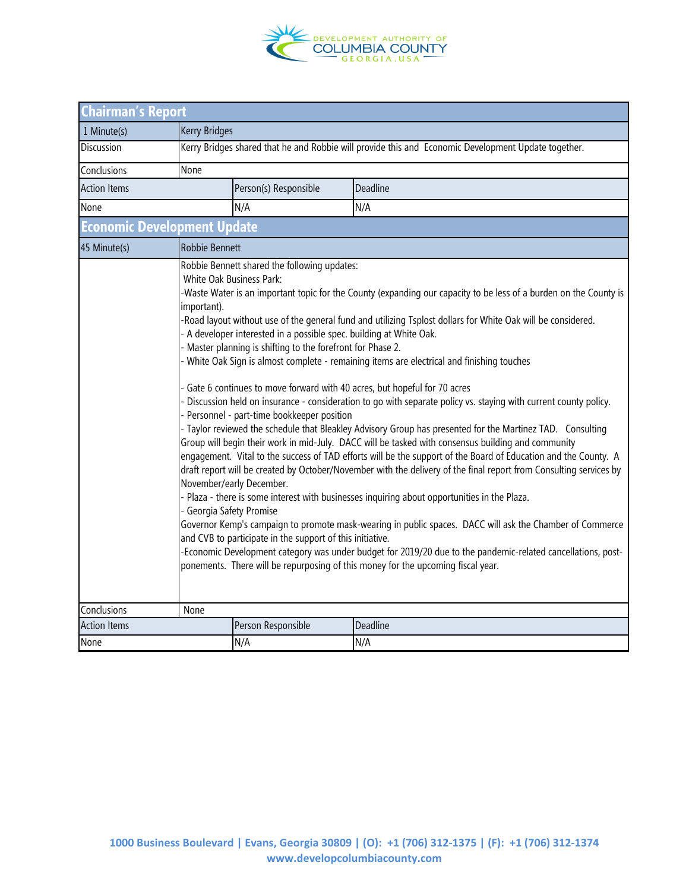

| <b>Chairman's Report</b>           |                                                                                                                                                                                                                                                                                                                                                                                                                                                                                                                                                                                                                                                                                                                                                                                                                                                                                                                                                                                                                                                                                                                                                                                                                                                                                                                                                                                                                                                                                                                                                                                                                                                                                                                                                                                                        |                       |          |  |  |  |  |
|------------------------------------|--------------------------------------------------------------------------------------------------------------------------------------------------------------------------------------------------------------------------------------------------------------------------------------------------------------------------------------------------------------------------------------------------------------------------------------------------------------------------------------------------------------------------------------------------------------------------------------------------------------------------------------------------------------------------------------------------------------------------------------------------------------------------------------------------------------------------------------------------------------------------------------------------------------------------------------------------------------------------------------------------------------------------------------------------------------------------------------------------------------------------------------------------------------------------------------------------------------------------------------------------------------------------------------------------------------------------------------------------------------------------------------------------------------------------------------------------------------------------------------------------------------------------------------------------------------------------------------------------------------------------------------------------------------------------------------------------------------------------------------------------------------------------------------------------------|-----------------------|----------|--|--|--|--|
| 1 Minute(s)                        | <b>Kerry Bridges</b>                                                                                                                                                                                                                                                                                                                                                                                                                                                                                                                                                                                                                                                                                                                                                                                                                                                                                                                                                                                                                                                                                                                                                                                                                                                                                                                                                                                                                                                                                                                                                                                                                                                                                                                                                                                   |                       |          |  |  |  |  |
| <b>Discussion</b>                  | Kerry Bridges shared that he and Robbie will provide this and Economic Development Update together.                                                                                                                                                                                                                                                                                                                                                                                                                                                                                                                                                                                                                                                                                                                                                                                                                                                                                                                                                                                                                                                                                                                                                                                                                                                                                                                                                                                                                                                                                                                                                                                                                                                                                                    |                       |          |  |  |  |  |
| Conclusions                        | None                                                                                                                                                                                                                                                                                                                                                                                                                                                                                                                                                                                                                                                                                                                                                                                                                                                                                                                                                                                                                                                                                                                                                                                                                                                                                                                                                                                                                                                                                                                                                                                                                                                                                                                                                                                                   |                       |          |  |  |  |  |
| <b>Action Items</b>                |                                                                                                                                                                                                                                                                                                                                                                                                                                                                                                                                                                                                                                                                                                                                                                                                                                                                                                                                                                                                                                                                                                                                                                                                                                                                                                                                                                                                                                                                                                                                                                                                                                                                                                                                                                                                        | Person(s) Responsible | Deadline |  |  |  |  |
| None                               |                                                                                                                                                                                                                                                                                                                                                                                                                                                                                                                                                                                                                                                                                                                                                                                                                                                                                                                                                                                                                                                                                                                                                                                                                                                                                                                                                                                                                                                                                                                                                                                                                                                                                                                                                                                                        | N/A                   | N/A      |  |  |  |  |
| <b>Economic Development Update</b> |                                                                                                                                                                                                                                                                                                                                                                                                                                                                                                                                                                                                                                                                                                                                                                                                                                                                                                                                                                                                                                                                                                                                                                                                                                                                                                                                                                                                                                                                                                                                                                                                                                                                                                                                                                                                        |                       |          |  |  |  |  |
| 45 Minute(s)                       | Robbie Bennett                                                                                                                                                                                                                                                                                                                                                                                                                                                                                                                                                                                                                                                                                                                                                                                                                                                                                                                                                                                                                                                                                                                                                                                                                                                                                                                                                                                                                                                                                                                                                                                                                                                                                                                                                                                         |                       |          |  |  |  |  |
| Conclusions                        | Robbie Bennett shared the following updates:<br>White Oak Business Park:<br>-Waste Water is an important topic for the County (expanding our capacity to be less of a burden on the County is<br>important).<br>-Road layout without use of the general fund and utilizing Tsplost dollars for White Oak will be considered.<br>A developer interested in a possible spec. building at White Oak.<br>Master planning is shifting to the forefront for Phase 2.<br>White Oak Sign is almost complete - remaining items are electrical and finishing touches<br>Gate 6 continues to move forward with 40 acres, but hopeful for 70 acres<br>Discussion held on insurance - consideration to go with separate policy vs. staying with current county policy.<br>Personnel - part-time bookkeeper position<br>- Taylor reviewed the schedule that Bleakley Advisory Group has presented for the Martinez TAD. Consulting<br>Group will begin their work in mid-July. DACC will be tasked with consensus building and community<br>engagement. Vital to the success of TAD efforts will be the support of the Board of Education and the County. A<br>draft report will be created by October/November with the delivery of the final report from Consulting services by<br>November/early December.<br>Plaza - there is some interest with businesses inquiring about opportunities in the Plaza.<br>- Georgia Safety Promise<br>Governor Kemp's campaign to promote mask-wearing in public spaces. DACC will ask the Chamber of Commerce<br>and CVB to participate in the support of this initiative.<br>-Economic Development category was under budget for 2019/20 due to the pandemic-related cancellations, post-<br>ponements. There will be repurposing of this money for the upcoming fiscal year. |                       |          |  |  |  |  |
| <b>Action Items</b>                | None                                                                                                                                                                                                                                                                                                                                                                                                                                                                                                                                                                                                                                                                                                                                                                                                                                                                                                                                                                                                                                                                                                                                                                                                                                                                                                                                                                                                                                                                                                                                                                                                                                                                                                                                                                                                   | Person Responsible    | Deadline |  |  |  |  |
| None                               |                                                                                                                                                                                                                                                                                                                                                                                                                                                                                                                                                                                                                                                                                                                                                                                                                                                                                                                                                                                                                                                                                                                                                                                                                                                                                                                                                                                                                                                                                                                                                                                                                                                                                                                                                                                                        | N/A                   | N/A      |  |  |  |  |